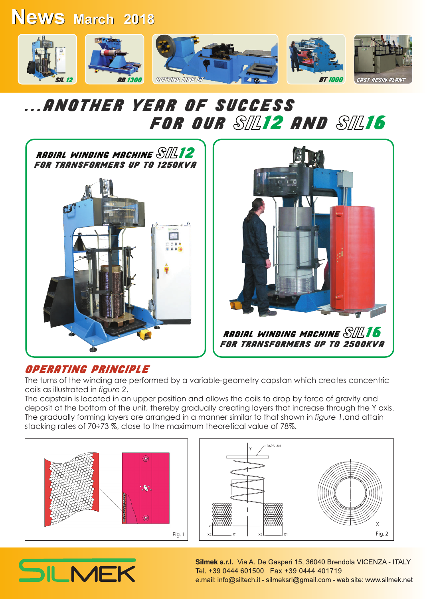### **News March 2018 March 2018**



### ...ANOTHER YEAR OF SUCCESS FOR OUR SIL12 AND SIL16





#### OPERATING PRINCIPLE

The turns of the winding are performed by a variable-geometry capstan which creates concentric coils as illustrated in *figure 2*.

The capstain is located in an upper position and allows the coils to drop by force of gravity and deposit at the bottom of the unit, thereby gradually creating layers that increase through the Y axis. The gradually forming layers are arranged in a manner similar to that shown in *figure 1*,and attain stacking rates of 70÷73 %, close to the maximum theoretical value of 78%.





# SILMEK

Silmek s.r.l. Via A. De Gasperi 15, 36040 Brendola VICENZA - ITALY Tel. +39 0444 601500 Fax +39 0444 401719 e.mail: info@siltech.it - silmeksrl@gmail.com - web site: www.silmek.net